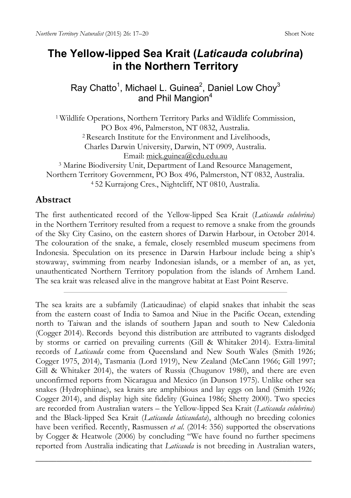## **The Yellow-lipped Sea Krait (***Laticauda colubrina***) in the Northern Territory**

Ray Chatto<sup>1</sup>, Michael L. Guinea<sup>2</sup>, Daniel Low Choy<sup>3</sup> and Phil Mangion<sup>4</sup>

<sup>1</sup> Wildlife Operations, Northern Territory Parks and Wildlife Commission, PO Box 496, Palmerston, NT 0832, Australia. 2 Research Institute for the Environment and Livelihoods, Charles Darwin University, Darwin, NT 0909, Australia. Email: [mick.guinea@cdu.edu.au](mailto:mick.guinea@cdu.edu.au) <sup>3</sup> Marine Biodiversity Unit, Department of Land Resource Management, Northern Territory Government, PO Box 496, Palmerston, NT 0832, Australia. <sup>4</sup> 52 Kurrajong Cres., Nightcliff, NT 0810, Australia.

## **Abstract**

The first authenticated record of the Yellow-lipped Sea Krait (*Laticauda colubrina*) in the Northern Territory resulted from a request to remove a snake from the grounds of the Sky City Casino, on the eastern shores of Darwin Harbour, in October 2014. The colouration of the snake, a female, closely resembled museum specimens from Indonesia. Speculation on its presence in Darwin Harbour include being a ship's stowaway, swimming from nearby Indonesian islands, or a member of an, as yet, unauthenticated Northern Territory population from the islands of Arnhem Land. The sea krait was released alive in the mangrove habitat at East Point Reserve.

The sea kraits are a subfamily (Laticaudinae) of elapid snakes that inhabit the seas from the eastern coast of India to Samoa and Niue in the Pacific Ocean, extending north to Taiwan and the islands of southern Japan and south to New Caledonia (Cogger 2014). Records beyond this distribution are attributed to vagrants dislodged by storms or carried on prevailing currents (Gill & Whitaker 2014). Extra-limital records of *Laticauda* come from Queensland and New South Wales (Smith 1926; Cogger 1975, 2014), Tasmania (Lord 1919), New Zealand (McCann 1966; Gill 1997; Gill & Whitaker 2014), the waters of Russia (Chugunov 1980), and there are even unconfirmed reports from Nicaragua and Mexico (in Dunson 1975). Unlike other sea snakes (Hydrophiinae), sea kraits are amphibious and lay eggs on land (Smith 1926; Cogger 2014), and display high site fidelity (Guinea 1986; Shetty 2000). Two species are recorded from Australian waters – the Yellow-lipped Sea Krait (*Laticauda colubrina*) and the Black-lipped Sea Krait (*Laticauda laticaudata*), although no breeding colonies have been verified. Recently, Rasmussen *et al*. (2014: 356) supported the observations by Cogger & Heatwole (2006) by concluding "We have found no further specimens reported from Australia indicating that *Laticauda* is not breeding in Australian waters,

\_\_\_\_\_\_\_\_\_\_\_\_\_\_\_\_\_\_\_\_\_\_\_\_\_\_\_\_\_\_\_\_\_\_\_\_\_\_\_\_\_\_\_\_\_\_\_\_\_\_\_\_\_\_\_\_\_\_\_\_\_\_\_\_\_\_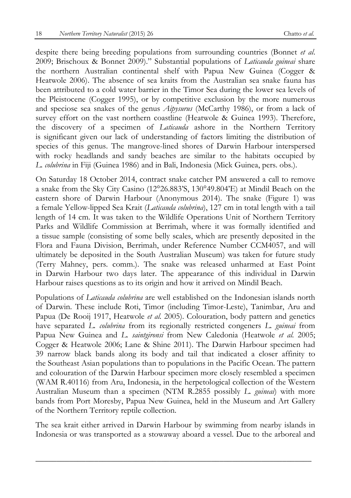despite there being breeding populations from surrounding countries (Bonnet *et al*. 2009; Brischoux & Bonnet 2009)." Substantial populations of *Laticauda guineai* share the northern Australian continental shelf with Papua New Guinea (Cogger & Heatwole 2006). The absence of sea kraits from the Australian sea snake fauna has been attributed to a cold water barrier in the Timor Sea during the lower sea levels of the Pleistocene (Cogger 1995), or by competitive exclusion by the more numerous and speciose sea snakes of the genus *Aipysurus* (McCarthy 1986), or from a lack of survey effort on the vast northern coastline (Heatwole & Guinea 1993). Therefore, the discovery of a specimen of *Laticauda* ashore in the Northern Territory is significant given our lack of understanding of factors limiting the distribution of species of this genus. The mangrove-lined shores of Darwin Harbour interspersed with rocky headlands and sandy beaches are similar to the habitats occupied by *L. colubrina* in Fiji (Guinea 1986) and in Bali, Indonesia (Mick Guinea, pers. obs.).

On Saturday 18 October 2014, contract snake catcher PM answered a call to remove a snake from the Sky City Casino (12°26.883'S, 130°49.804'E) at Mindil Beach on the eastern shore of Darwin Harbour (Anonymous 2014). The snake (Figure 1) was a female Yellow-lipped Sea Krait (*Laticauda colubrina*), 127 cm in total length with a tail length of 14 cm. It was taken to the Wildlife Operations Unit of Northern Territory Parks and Wildlife Commission at Berrimah, where it was formally identified and a tissue sample (consisting of some belly scales, which are presently deposited in the Flora and Fauna Division, Berrimah, under Reference Number CCM4057, and will ultimately be deposited in the South Australian Museum) was taken for future study (Terry Mahney, pers. comm.). The snake was released unharmed at East Point in Darwin Harbour two days later. The appearance of this individual in Darwin Harbour raises questions as to its origin and how it arrived on Mindil Beach.

Populations of *Laticauda colubrina* are well established on the Indonesian islands north of Darwin. These include Roti, Timor (including Timor-Leste), Tanimbar, Aru and Papua (De Rooij 1917, Heatwole *et al.* 2005). Colouration, body pattern and genetics have separated *L. colubrina* from its regionally restricted congeners *L. guineai* from Papua New Guinea and *L. saintgironsi* from New Caledonia (Heatwole *et al.* 2005; Cogger & Heatwole 2006; Lane & Shine 2011). The Darwin Harbour specimen had 39 narrow black bands along its body and tail that indicated a closer affinity to the Southeast Asian populations than to populations in the Pacific Ocean. The pattern and colouration of the Darwin Harbour specimen more closely resembled a specimen (WAM R.40116) from Aru, Indonesia, in the herpetological collection of the Western Australian Museum than a specimen (NTM R.2855 possibly *L. guineai*) with more bands from Port Moresby, Papua New Guinea, held in the Museum and Art Gallery of the Northern Territory reptile collection.

The sea krait either arrived in Darwin Harbour by swimming from nearby islands in Indonesia or was transported as a stowaway aboard a vessel. Due to the arboreal and

\_\_\_\_\_\_\_\_\_\_\_\_\_\_\_\_\_\_\_\_\_\_\_\_\_\_\_\_\_\_\_\_\_\_\_\_\_\_\_\_\_\_\_\_\_\_\_\_\_\_\_\_\_\_\_\_\_\_\_\_\_\_\_\_\_\_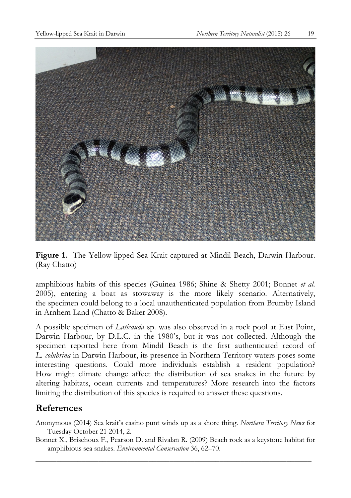

**Figure 1.** The Yellow-lipped Sea Krait captured at Mindil Beach, Darwin Harbour. (Ray Chatto)

amphibious habits of this species (Guinea 1986; Shine & Shetty 2001; Bonnet *et al.* 2005), entering a boat as stowaway is the more likely scenario. Alternatively, the specimen could belong to a local unauthenticated population from Brumby Island in Arnhem Land (Chatto & Baker 2008).

A possible specimen of *Laticauda* sp. was also observed in a rock pool at East Point, Darwin Harbour, by D.L.C. in the 1980's, but it was not collected. Although the specimen reported here from Mindil Beach is the first authenticated record of *L. colubrina* in Darwin Harbour, its presence in Northern Territory waters poses some interesting questions. Could more individuals establish a resident population? How might climate change affect the distribution of sea snakes in the future by altering habitats, ocean currents and temperatures? More research into the factors limiting the distribution of this species is required to answer these questions.

## **References**

- Anonymous (2014) Sea krait's casino punt winds up as a shore thing. *Northern Territory News* for Tuesday October 21 2014, 2.
- \_\_\_\_\_\_\_\_\_\_\_\_\_\_\_\_\_\_\_\_\_\_\_\_\_\_\_\_\_\_\_\_\_\_\_\_\_\_\_\_\_\_\_\_\_\_\_\_\_\_\_\_\_\_\_\_\_\_\_\_\_\_\_\_\_\_ Bonnet X., Brischoux F., Pearson D. and Rivalan R. (2009) Beach rock as a keystone habitat for amphibious sea snakes. *Environmental Conservation* 36, 62–70.